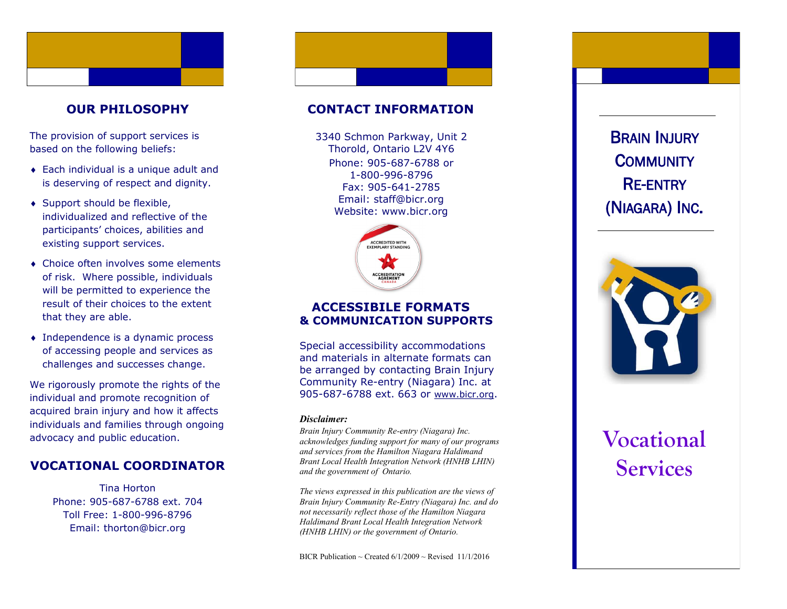### **OUR PHILOSOPHY**

The provision of support services is based on the following beliefs:

- Each individual is a unique adult and is deserving of respect and dignity.
- ◆ Support should be flexible, individualized and reflective of the participants' choices, abilities and existing support services.
- Choice often involves some elements of risk. Where possible, individuals will be permitted to experience the result of their choices to the extent that they are able.
- Independence is a dynamic process of accessing people and services as challenges and successes change.

We rigorously promote the rights of the individual and promote recognition of acquired brain injury and how it affects individuals and families through ongoing advocacy and public education.

## **VOCATIONAL COORDINATOR**

Tina Horton Phone: 905 -687 -6788 ext. 704 Toll Free: 1 -800 -996 -8796 Email: thorton@bicr.org

### **CONTACT INFORMATION**

Phone: 905 -687 -6788 or 1 -800 -996 -8796 Fax: 905 -641 -2785 Email: staff@bicr.org Website: www.bicr.org 3340 Schmon Parkway, Unit 2 Thorold, Ontario L2V 4Y6



#### **ACCESSIBILE FORMATS & COMMUNICATION SUPPORTS**

Special accessibility accommodations and materials in alternate formats can be arranged by contacting Brain Injury Community Re -entry (Niagara) Inc. at 905-687-6788 ext. 663 or [www.bicr.org](http://www.bicr.org).

#### *Disclaimer:*

*Brain Injury Community Re -entry (Niagara) Inc. acknowledges funding support for many of our programs and services from the Hamilton Niagara Haldimand Brant Local Health Integration Network (HNHB LHIN) and the government of Ontario.* 

*The views expressed in this publication are the views of Brain Injury Community Re -Entry (Niagara) Inc. and do not necessarily reflect those of the Hamilton Niagara Haldimand Brant Local Health Integration Network (HNHB LHIN) or the government of Ontario.* 

BICR Publication ~ Created  $6/1/2009$  ~ Revised 11/1/2016

(NIAGARA) INC .



# **Vocational**